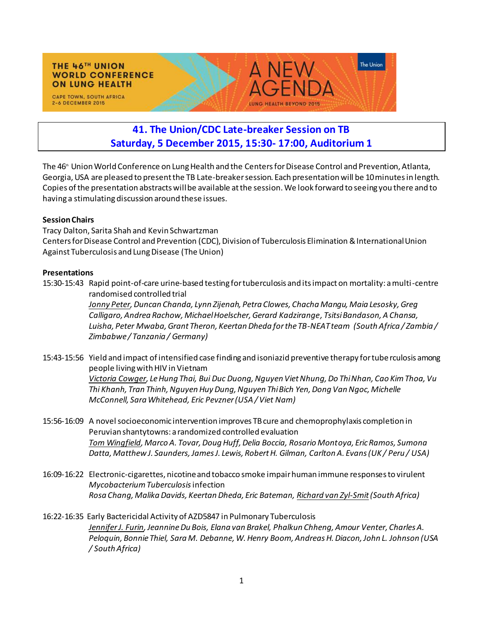## **THE 46TH UNION WORLD CONFERENCE ON LUNG HEALTH**

CAPE TOWN, SOUTH AFRICA 2-6 DECEMBER 2015



## **41. The Union/CDC Late-breaker Session on TB Saturday, 5 December 2015, 15:30- 17:00, Auditorium 1**

The 46 th Union World Conference on Lung Health and the Centers for Disease Control and Prevention, Atlanta, Georgia, USA are pleased to present the TB Late-breaker session. Each presentation will be 10 minutes in length. Copies of the presentation abstracts will be available at the session. We look forward to seeing you there and to having a stimulating discussion around these issues.

## **Session Chairs**

Tracy Dalton, Sarita Shah and Kevin Schwartzman Centers for Disease Control and Prevention (CDC), Division of Tuberculosis Elimination &International Union Against Tuberculosis and Lung Disease (The Union)

## **Presentations**

15:30-15:43Rapid point-of-care urine-based testing for tuberculosis and its impact on mortality: a multi-centre randomised controlled trial

> *Jonny Peter, Duncan Chanda, Lynn Zijenah, Petra Clowes, Chacha Mangu, Maia Lesosky, Greg Calligaro, Andrea Rachow, Michael Hoelscher, Gerard Kadzirange, Tsitsi Bandason, A Chansa, Luisha, Peter Mwaba, Grant Theron, Keertan Dheda for the TB-NEAT team (South Africa / Zambia / Zimbabwe / Tanzania / Germany)*

- 15:43-15:56 Yield and impact of intensified case finding and isoniazid preventive therapy for tube rculosis among people living with HIV in Vietnam *Victoria Cowger, Le Hung Thai, Bui Duc Duong, Nguyen Viet Nhung, Do Thi Nhan, Cao Kim Thoa, Vu Thi Khanh, Tran Thinh, Nguyen Huy Dung, Nguyen Thi Bich Yen, Dong Van Ngoc, Michelle McConnell, Sara Whitehead, Eric Pevzner (USA / Viet Nam)*
- 15:56-16:09 A novel socioeconomic intervention improves TB cure and chemoprophylaxis completion in Peruvian shantytowns: a randomized controlled evaluation *Tom Wingfield, Marco A. Tovar, Doug Huff, Delia Boccia, Rosario Montoya, Eric Ramos, Sumona Datta, Matthew J. Saunders, James J. Lewis, Robert H. Gilman, Carlton A. Evans (UK / Peru / USA)*
- 16:09-16:22 Electronic-cigarettes, nicotine and tobacco smoke impair human immune responses to virulent *Mycobacterium Tuberculosis* infection *Rosa Chang, Malika Davids, Keertan Dheda, Eric Bateman, Richard van Zyl-Smit(South Africa)*
- 16:22-16:35 Early Bactericidal Activity of AZD5847 in Pulmonary Tuberculosis *Jennifer J. Furin, Jeannine Du Bois, Elana van Brakel, Phalkun Chheng, Amour Venter, Charles A. Peloquin, Bonnie Thiel, Sara M. Debanne, W. Henry Boom, Andreas H. Diacon, John L. Johnson (USA / South Africa)*